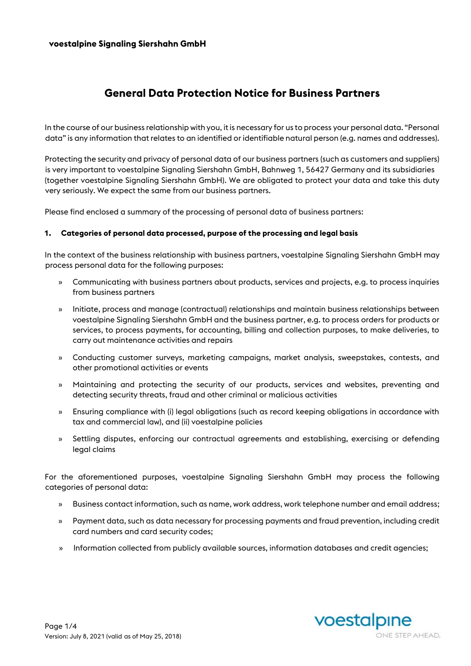# **General Data Protection Notice for Business Partners**

In the course of our business relationship with you, it is necessary for us to process your personal data. "Personal data" is any information that relates to an identified or identifiable natural person (e.g. names and addresses).

Protecting the security and privacy of personal data of our business partners (such as customers and suppliers) is very important to voestalpine Signaling Siershahn GmbH, Bahnweg 1, 56427 Germany and its subsidiaries (together voestalpine Signaling Siershahn GmbH). We are obligated to protect your data and take this duty very seriously. We expect the same from our business partners.

Please find enclosed a summary of the processing of personal data of business partners:

#### **1. Categories of personal data processed, purpose of the processing and legal basis**

In the context of the business relationship with business partners, voestalpine Signaling Siershahn GmbH may process personal data for the following purposes:

- » Communicating with business partners about products, services and projects, e.g. to process inquiries from business partners
- » Initiate, process and manage (contractual) relationships and maintain business relationships between voestalpine Signaling Siershahn GmbH and the business partner, e.g. to process orders for products or services, to process payments, for accounting, billing and collection purposes, to make deliveries, to carry out maintenance activities and repairs
- » Conducting customer surveys, marketing campaigns, market analysis, sweepstakes, contests, and other promotional activities or events
- » Maintaining and protecting the security of our products, services and websites, preventing and detecting security threats, fraud and other criminal or malicious activities
- » Ensuring compliance with (i) legal obligations (such as record keeping obligations in accordance with tax and commercial law), and (ii) voestalpine policies
- » Settling disputes, enforcing our contractual agreements and establishing, exercising or defending legal claims

For the aforementioned purposes, voestalpine Signaling Siershahn GmbH may process the following categories of personal data:

- » Business contact information, such as name, work address, work telephone number and email address;
- » Payment data, such as data necessary for processing payments and fraud prevention, including credit card numbers and card security codes;
- » Information collected from publicly available sources, information databases and credit agencies;

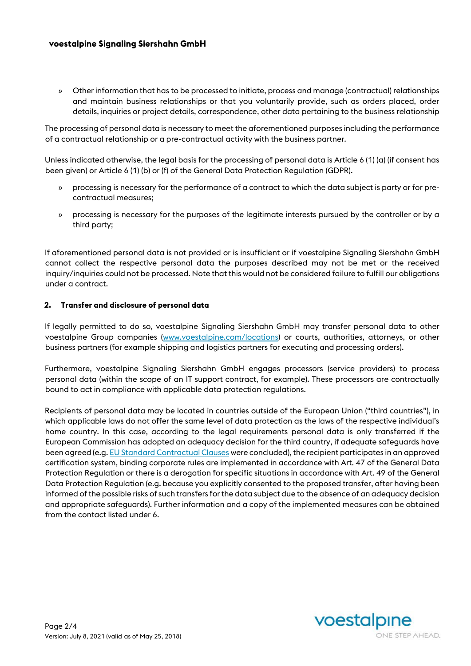## **voestalpine Signaling Siershahn GmbH**

» Other information that has to be processed to initiate, process and manage (contractual) relationships and maintain business relationships or that you voluntarily provide, such as orders placed, order details, inquiries or project details, correspondence, other data pertaining to the business relationship

The processing of personal data is necessary to meet the aforementioned purposes including the performance of a contractual relationship or a pre-contractual activity with the business partner.

Unless indicated otherwise, the legal basis for the processing of personal data is Article 6 (1) (a) (if consent has been given) or Article 6 (1) (b) or (f) of the General Data Protection Regulation (GDPR).

- » processing is necessary for the performance of a contract to which the data subject is party or for precontractual measures;
- » processing is necessary for the purposes of the legitimate interests pursued by the controller or by a third party;

If aforementioned personal data is not provided or is insufficient or if voestalpine Signaling Siershahn GmbH cannot collect the respective personal data the purposes described may not be met or the received inquiry/inquiries could not be processed. Note that this would not be considered failure to fulfill our obligations under a contract.

#### **2. Transfer and disclosure of personal data**

If legally permitted to do so, voestalpine Signaling Siershahn GmbH may transfer personal data to other voestalpine Group companies [\(www.voestalpine.com/locations\)](http://www.voestalpine.com/locations) or courts, authorities, attorneys, or other business partners (for example shipping and logistics partners for executing and processing orders).

Furthermore, voestalpine Signaling Siershahn GmbH engages processors (service providers) to process personal data (within the scope of an IT support contract, for example). These processors are contractually bound to act in compliance with applicable data protection regulations.

Recipients of personal data may be located in countries outside of the European Union ("third countries"), in which applicable laws do not offer the same level of data protection as the laws of the respective individual's home country. In this case, according to the legal requirements personal data is only transferred if the European Commission has adopted an adequacy decision for the third country, if adequate safeguards have been agreed (e.[g. EU Standard Contractual Clauses](https://ec.europa.eu/info/law/law-topic/data-protection/data-transfers-outside-eu/model-contracts-transfer-personal-data-third-countries_en) [we](https://ec.europa.eu/info/law/law-topic/data-protection/data-transfers-outside-eu/model-contracts-transfer-personal-data-third-countries_en)re concluded), the recipient participates in an approved certification system, binding corporate rules are implemented in accordance with Art. 47 of the General Data Protection Regulation or there is a derogation for specific situations in accordance with Art. 49 of the General Data Protection Regulation (e.g. because you explicitly consented to the proposed transfer, after having been informed of the possible risks of such transfers for the data subject due to the absence of an adequacy decision and appropriate safeguards). Further information and a copy of the implemented measures can be obtained from the contact listed under 6.

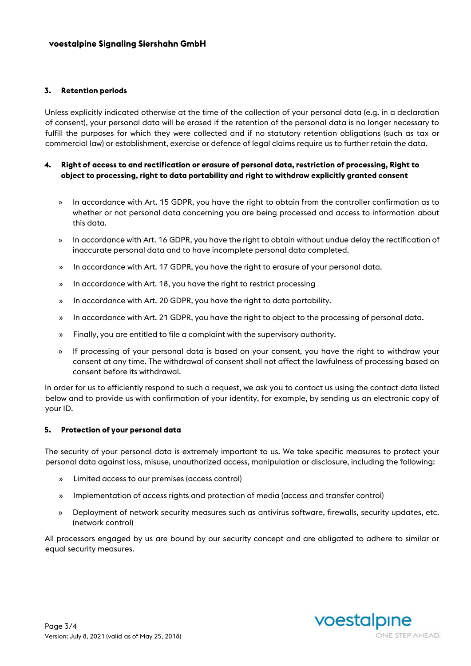#### **3. Retention periods**

Unless explicitly indicated otherwise at the time of the collection of your personal data (e.g. in a declaration of consent), your personal data will be erased if the retention of the personal data is no longer necessary to fulfill the purposes for which they were collected and if no statutory retention obligations (such as tax or commercial law) or establishment, exercise or defence of legal claims require us to further retain the data.

## **4. Right of access to and rectification or erasure of personal data, restriction of processing, Right to object to processing, right to data portability and right to withdraw explicitly granted consent**

- » In accordance with Art. 15 GDPR, you have the right to obtain from the controller confirmation as to whether or not personal data concerning you are being processed and access to information about this data.
- » In accordance with Art. 16 GDPR, you have the right to obtain without undue delay the rectification of inaccurate personal data and to have incomplete personal data completed.
- » In accordance with Art. 17 GDPR, you have the right to erasure of your personal data.
- » In accordance with Art. 18, you have the right to restrict processing
- » In accordance with Art. 20 GDPR, you have the right to data portability.
- » In accordance with Art. 21 GDPR, you have the right to object to the processing of personal data.
- » Finally, you are entitled to file a complaint with the supervisory authority.
- » If processing of your personal data is based on your consent, you have the right to withdraw your consent at any time. The withdrawal of consent shall not affect the lawfulness of processing based on consent before its withdrawal.

In order for us to efficiently respond to such a request, we ask you to contact us using the contact data listed below and to provide us with confirmation of your identity, for example, by sending us an electronic copy of your ID.

#### **5. Protection of your personal data**

The security of your personal data is extremely important to us. We take specific measures to protect your personal data against loss, misuse, unauthorized access, manipulation or disclosure, including the following:

- » Limited access to our premises (access control)
- » Implementation of access rights and protection of media (access and transfer control)
- » Deployment of network security measures such as antivirus software, firewalls, security updates, etc. (network control)

All processors engaged by us are bound by our security concept and are obligated to adhere to similar or equal security measures.